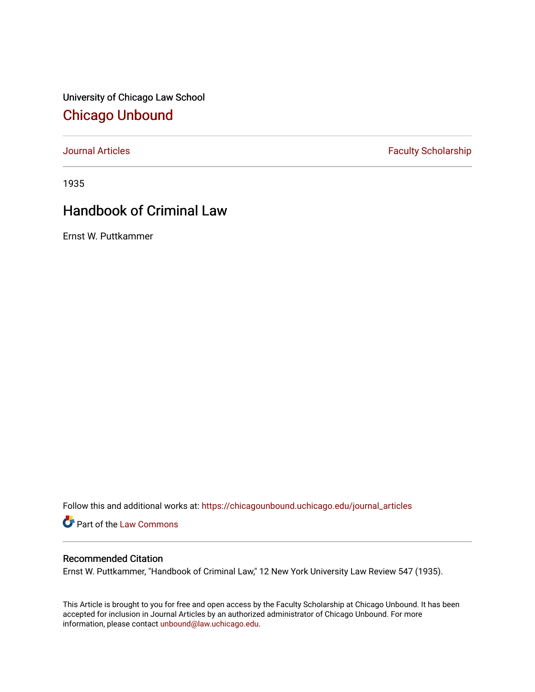University of Chicago Law School [Chicago Unbound](https://chicagounbound.uchicago.edu/)

[Journal Articles](https://chicagounbound.uchicago.edu/journal_articles) **Faculty Scholarship Faculty Scholarship** 

1935

## Handbook of Criminal Law

Ernst W. Puttkammer

Follow this and additional works at: [https://chicagounbound.uchicago.edu/journal\\_articles](https://chicagounbound.uchicago.edu/journal_articles?utm_source=chicagounbound.uchicago.edu%2Fjournal_articles%2F9142&utm_medium=PDF&utm_campaign=PDFCoverPages) 

Part of the [Law Commons](http://network.bepress.com/hgg/discipline/578?utm_source=chicagounbound.uchicago.edu%2Fjournal_articles%2F9142&utm_medium=PDF&utm_campaign=PDFCoverPages)

## Recommended Citation

Ernst W. Puttkammer, "Handbook of Criminal Law," 12 New York University Law Review 547 (1935).

This Article is brought to you for free and open access by the Faculty Scholarship at Chicago Unbound. It has been accepted for inclusion in Journal Articles by an authorized administrator of Chicago Unbound. For more information, please contact [unbound@law.uchicago.edu](mailto:unbound@law.uchicago.edu).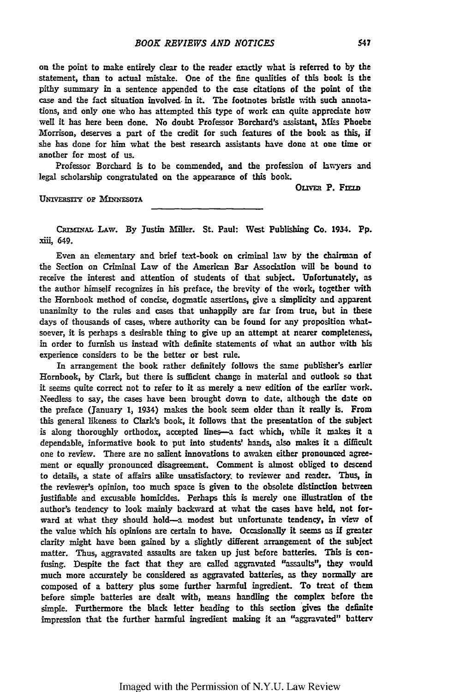on the point to make entirely dear to the reader exactly what is referred to **by** the statement, than to actual mistake. One of the fine qualities of this book is the pithy summary in a sentence appended to the case citations of the point of the case and the fact situation involved, in it. The footnotes bristle with such annotations, and only one who has attempted this type of work can quite appreciate how well it has here been done. No doubt Professor Borchard's assistant, Miss Phoebe Morrison, deserves a part of the credit for such features of the book as this, if she has done for him what the best research assistants have done at one time or another for most of us.

Professor Borchard is to be commended, and the profession of lawyers and legal scholarship congratulated on the appearance of this book.

OLIVER P. FIELD

**UNIVERSITY OF MINNESOTA** 

**CRw.NAL LAW. By** Justini Miller. St. Paul: West Publishing Co. 1934. **Pp.** xiil, 649.

Even an elementary and brief text-book on criminal law **by** the chairman of the Section on Criminal Law of the American Bar Association will **be** bound to receive the interest and attention of students of that subject. Unfortunately, as the author himself recognizes in his preface, the brevity of the work, together with the Hornbook method of concise, dogmatic assertions, give a simplicity and apparent unanimity to the rules and cases that unhappily are far from true, but in thee days of thousands of cases, where authority can be found **for** any proposition whatsoever, it is perhaps a desirable thing to give up an attempt at nearer completeness, in order to furnish us instead with definite statements of what an author with his experience considers to be the better or best rule.

In arrangement the book rather definitely follows the same publisher's earlier Hornbook, by Clark, but there is sufficient change in material and outlook **so** that it seems quite correct not to refer to it as merely a new edition of the earlier work. Needless to say, the cases have been brought down to date, although the date on the preface (January **1,** 1934) makes the book seem older than it really is. From this general likeness to Clark's book, it follows that the presentation of the subject is along thoroughly orthodox, accepted lines--a fact which, while it makes it a dependable, informative book to put into students' hands, also makes it a difficult one to review. There are no salient innovations to awaken either pronounced agreement or equally pronounced disagreement. Comment is almost obliged to descend to details, a state of affairs alike unsatisfactory, to reviewer and reader. Thus, in the reviewer's opinion, too much space is given to the obsolete distinction between justifiable and excusable homicides. Perhaps this is merely one illustration of the author's tendency to look mainly backward at what the cases have **held,** not forward at what they should hold-a modest but unfortunate tendency, in view of the value which his opinions are certain to have. Occasionally it seems as if greater clarity might have been gained **by** a slightly different arrangement of the subject matter. Thus, aggravated assaults are taken up just before batteries. This is confusing. Despite the fact that they are called aggravated "assaults", they would much more accurately be considered as aggravated batteries, as they normally are composed of a battery plus some further **harmful** ingredient. To treat of them before simple batteries are dealt with, means handling the complex before the simple. Furthermore the black letter heading to this section gives the definite impression that the further harmful ingredient making it an "aggravated" battery